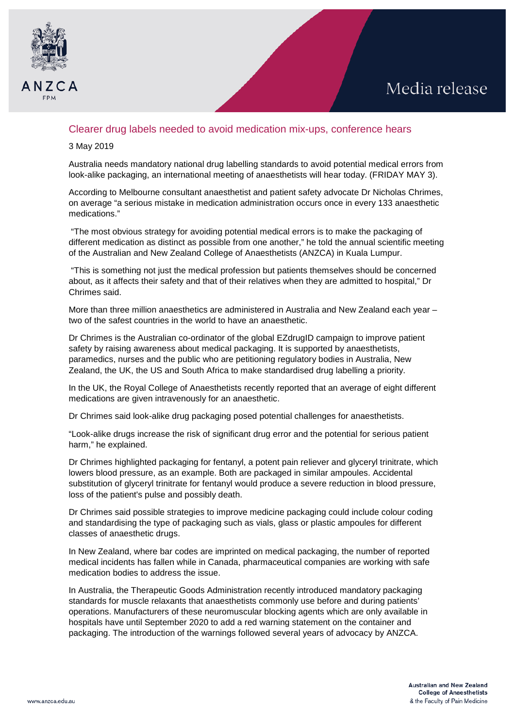

## Clearer drug labels needed to avoid medication mix-ups, conference hears

## 3 May 2019

Australia needs mandatory national drug labelling standards to avoid potential medical errors from look-alike packaging, an international meeting of anaesthetists will hear today. (FRIDAY MAY 3).

According to Melbourne consultant anaesthetist and patient safety advocate Dr Nicholas Chrimes, on average "a serious mistake in medication administration occurs once in every 133 anaesthetic medications."

"The most obvious strategy for avoiding potential medical errors is to make the packaging of different medication as distinct as possible from one another," he told the annual scientific meeting of the Australian and New Zealand College of Anaesthetists (ANZCA) in Kuala Lumpur.

"This is something not just the medical profession but patients themselves should be concerned about, as it affects their safety and that of their relatives when they are admitted to hospital," Dr Chrimes said.

More than three million anaesthetics are administered in Australia and New Zealand each vear – two of the safest countries in the world to have an anaesthetic.

Dr Chrimes is the Australian co-ordinator of the global EZdrugID campaign to improve patient safety by raising awareness about medical packaging. It is supported by anaesthetists, paramedics, nurses and the public who are petitioning regulatory bodies in Australia, New Zealand, the UK, the US and South Africa to make standardised drug labelling a priority.

In the UK, the Royal College of Anaesthetists recently reported that an average of eight different medications are given intravenously for an anaesthetic.

Dr Chrimes said look-alike drug packaging posed potential challenges for anaesthetists.

"Look-alike drugs increase the risk of significant drug error and the potential for serious patient harm," he explained.

Dr Chrimes highlighted packaging for fentanyl, a potent pain reliever and glyceryl trinitrate, which lowers blood pressure, as an example. Both are packaged in similar ampoules. Accidental substitution of glyceryl trinitrate for fentanyl would produce a severe reduction in blood pressure, loss of the patient's pulse and possibly death.

Dr Chrimes said possible strategies to improve medicine packaging could include colour coding and standardising the type of packaging such as vials, glass or plastic ampoules for different classes of anaesthetic drugs.

In New Zealand, where bar codes are imprinted on medical packaging, the number of reported medical incidents has fallen while in Canada, pharmaceutical companies are working with safe medication bodies to address the issue.

In Australia, the Therapeutic Goods Administration recently introduced mandatory packaging standards for muscle relaxants that anaesthetists commonly use before and during patients' operations. Manufacturers of these neuromuscular blocking agents which are only available in hospitals have until September 2020 to add a red warning statement on the container and packaging. The introduction of the warnings followed several years of advocacy by ANZCA.